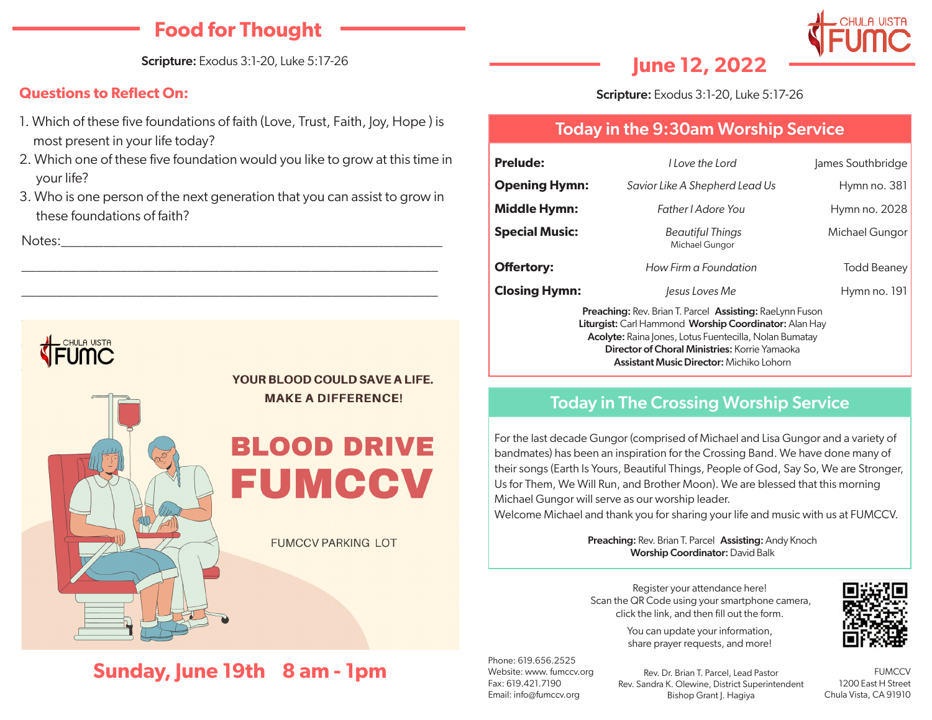## **Food for Thought**

Scripture: Exodus 3:1-20, Luke 5:17-26

### **Questions to Reflect On:**

- 1. Which of these five foundations of faith (Love, Trust, Faith, Joy, Hope ) is most present in your life today?
- 2. Which one of these five foundation would you like to grow at this time in your life?
- 3. Who is one person of the next generation that you can assist to grow in these foundations of faith?

\_\_\_\_\_\_\_\_\_\_\_\_\_\_\_\_\_\_\_\_\_\_\_\_\_\_\_\_\_\_\_\_\_\_\_\_\_\_\_\_\_\_\_\_\_\_\_\_\_\_\_\_\_\_\_\_\_\_\_

\_\_\_\_\_\_\_\_\_\_\_\_\_\_\_\_\_\_\_\_\_\_\_\_\_\_\_\_\_\_\_\_\_\_\_\_\_\_\_\_\_\_\_\_\_\_\_\_\_\_\_\_\_\_\_\_\_\_\_

Notes:\_\_\_\_\_\_\_\_\_\_\_\_\_\_\_\_\_\_\_\_\_\_\_\_\_\_\_\_\_\_\_\_\_\_\_\_\_\_\_\_\_\_\_\_\_\_\_\_\_\_\_\_\_\_

## $\frac{1}{\sqrt{2}}$  CHULA UISTA  $\blacksquare$



YOUR BLOOD COULD SAVE A LIFE. **MAKE A DIFFERENCE!** 



**FUMCCV PARKING LOT** 

# **Sunday, June 19th 8 am - 1pm**



# **June 12, 2022**

Scripture: Exodus 3:1-20, Luke 5:17-26

### Today in the 9:30am Worship Service

| <b>Prelude:</b>       | I Love the Lord                                                                                                          | James Southbridge |
|-----------------------|--------------------------------------------------------------------------------------------------------------------------|-------------------|
| <b>Opening Hymn:</b>  | Savior Like A Shepherd Lead Us                                                                                           | Hymn no. $381$    |
| <b>Middle Hymn:</b>   | Father <i>Adore</i> You                                                                                                  | Hymn no. 2028     |
| <b>Special Music:</b> | <b>Beautiful Things</b><br>Michael Gungor                                                                                | Michael Gungor    |
| <b>Offertory:</b>     | How Firm a Foundation                                                                                                    | Todd Beaney       |
| <b>Closing Hymn:</b>  | lesus Loves Me                                                                                                           | Hymn no. 191      |
|                       | <b>Preaching: Rev. Brian T. Parcel Assisting: RaeLynn Fuson</b><br>Liturgist: Carl Hammond Worship Coordinator: Alan Hay |                   |

Acolyte: Raina Jones, Lotus Fuentecilla, Nolan Bumatay Director of Choral Ministries: Korrie Yamaoka Assistant Music Director: Michiko Lohorn

### Today in The Crossing Worship Service

For the last decade Gungor (comprised of Michael and Lisa Gungor and a variety of bandmates) has been an inspiration for the Crossing Band. We have done many of their songs (Earth Is Yours, Beautiful Things, People of God, Say So, We are Stronger, Us for Them, We Will Run, and Brother Moon). We are blessed that this morning Michael Gungor will serve as our worship leader.

Welcome Michael and thank you for sharing your life and music with us at FUMCCV.

Preaching: Rev. Brian T. Parcel Assisting: Andy Knoch Worship Coordinator: David Balk

Register your attendance here! Scan the QR Code using your smartphone camera, click the link, and then fill out the form.

> You can update your information, share prayer requests, and more!

Phone: 619.656.2525 Website: www. fumccv.org Fax: 619.421.7190 Email: info@fumccv.org

Rev. Dr. Brian T. Parcel, Lead Pastor Rev. Sandra K. Olewine, District Superintendent Bishop Grant J. Hagiya

**FUMCCV** 1200 East H Street Chula Vista, CA 91910